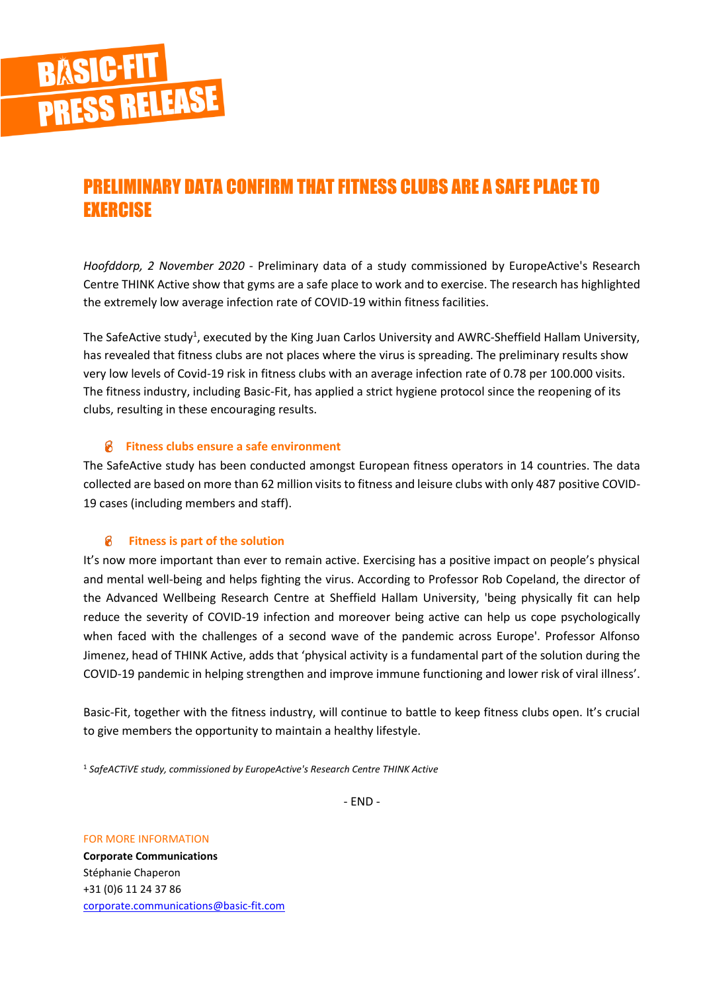

## PRELIMINARY DATA CONFIRM THAT FITNESS CLUBS ARE A SAFE PLACE TO **EXERCISE**

*Hoofddorp, 2 November 2020* - Preliminary data of a study commissioned by EuropeActive's Research Centre THINK Active show that gyms are a safe place to work and to exercise. The research has highlighted the extremely low average infection rate of COVID-19 within fitness facilities.

The SafeActive study<sup>1</sup>, executed by the King Juan Carlos University and AWRC-Sheffield Hallam University, has revealed that fitness clubs are not places where the virus is spreading. The preliminary results show very low levels of Covid-19 risk in fitness clubs with an average infection rate of 0.78 per 100.000 visits. The fitness industry, including Basic-Fit, has applied a strict hygiene protocol since the reopening of its clubs, resulting in these encouraging results.

## **Fitness clubs ensure a safe environment**

The SafeActive study has been conducted amongst European fitness operators in 14 countries. The data collected are based on more than 62 million visits to fitness and leisure clubs with only 487 positive COVID-19 cases (including members and staff).

## 8 **Fitness is part of the solution**

It's now more important than ever to remain active. Exercising has a positive impact on people's physical and mental well-being and helps fighting the virus. According to Professor Rob Copeland, the director of the Advanced Wellbeing Research Centre at Sheffield Hallam University, 'being physically fit can help reduce the severity of COVID-19 infection and moreover being active can help us cope psychologically when faced with the challenges of a second wave of the pandemic across Europe'. Professor Alfonso Jimenez, head of THINK Active, adds that 'physical activity is a fundamental part of the solution during the COVID-19 pandemic in helping strengthen and improve immune functioning and lower risk of viral illness'.

Basic-Fit, together with the fitness industry, will continue to battle to keep fitness clubs open. It's crucial to give members the opportunity to maintain a healthy lifestyle.

<sup>1</sup> *SafeACTiVE study, commissioned by EuropeActive's Research Centre THINK Active*

- END -

FOR MORE INFORMATION

**Corporate Communications** Stéphanie Chaperon +31 (0)6 11 24 37 86 [corporate.communications@basic-fit.com](mailto:corporate.communications@basic-fit.com)